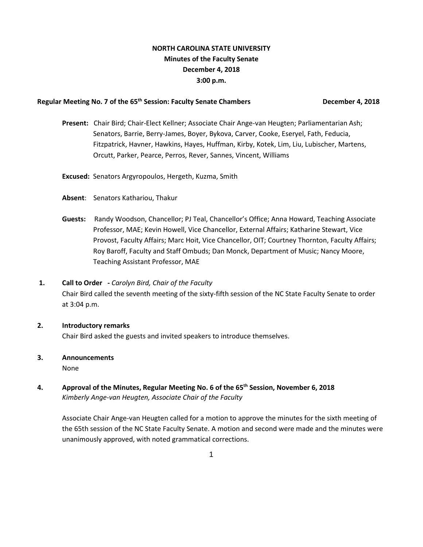## **NORTH CAROLINA STATE UNIVERSITY Minutes of the Faculty Senate December 4, 2018 3:00 p.m.**

#### **Regular Meeting No. 7 of the 65th Session: Faculty Senate Chambers December 4, 2018**

- **Present:** Chair Bird; Chair-Elect Kellner; Associate Chair Ange-van Heugten; Parliamentarian Ash; Senators, Barrie, Berry-James, Boyer, Bykova, Carver, Cooke, Eseryel, Fath, Feducia, Fitzpatrick, Havner, Hawkins, Hayes, Huffman, Kirby, Kotek, Lim, Liu, Lubischer, Martens, Orcutt, Parker, Pearce, Perros, Rever, Sannes, Vincent, Williams
- **Excused:** Senators Argyropoulos, Hergeth, Kuzma, Smith
- **Absent**: Senators Kathariou, Thakur
- **Guests:** Randy Woodson, Chancellor; PJ Teal, Chancellor's Office; Anna Howard, Teaching Associate Professor, MAE; Kevin Howell, Vice Chancellor, External Affairs; Katharine Stewart, Vice Provost, Faculty Affairs; Marc Hoit, Vice Chancellor, OIT; Courtney Thornton, Faculty Affairs; Roy Baroff, Faculty and Staff Ombuds; Dan Monck, Department of Music; Nancy Moore, Teaching Assistant Professor, MAE

## **1. Call to Order -** *Carolyn Bird, Chair of the Faculty*

Chair Bird called the seventh meeting of the sixty-fifth session of the NC State Faculty Senate to order at 3:04 p.m.

#### **2. Introductory remarks**

Chair Bird asked the guests and invited speakers to introduce themselves.

# **3. Announcements**

None

**4. Approval of the Minutes, Regular Meeting No. 6 of the 65th Session, November 6, 2018**  *Kimberly Ange-van Heugten, Associate Chair of the Faculty* 

Associate Chair Ange-van Heugten called for a motion to approve the minutes for the sixth meeting of the 65th session of the NC State Faculty Senate. A motion and second were made and the minutes were unanimously approved, with noted grammatical corrections.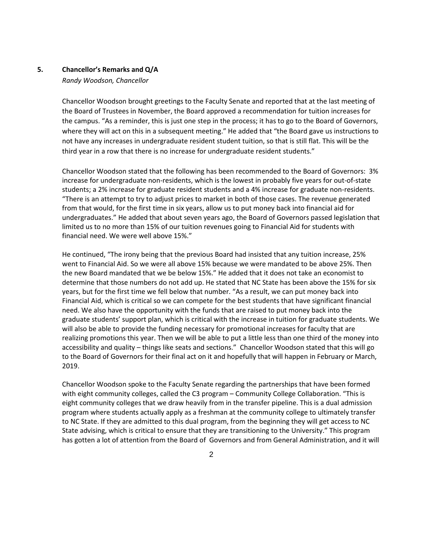#### **5. Chancellor's Remarks and Q/A**

#### *Randy Woodson, Chancellor*

Chancellor Woodson brought greetings to the Faculty Senate and reported that at the last meeting of the Board of Trustees in November, the Board approved a recommendation for tuition increases for the campus. "As a reminder, this is just one step in the process; it has to go to the Board of Governors, where they will act on this in a subsequent meeting." He added that "the Board gave us instructions to not have any increases in undergraduate resident student tuition, so that is still flat. This will be the third year in a row that there is no increase for undergraduate resident students."

Chancellor Woodson stated that the following has been recommended to the Board of Governors: 3% increase for undergraduate non-residents, which is the lowest in probably five years for out-of-state students; a 2% increase for graduate resident students and a 4% increase for graduate non-residents. "There is an attempt to try to adjust prices to market in both of those cases. The revenue generated from that would, for the first time in six years, allow us to put money back into financial aid for undergraduates." He added that about seven years ago, the Board of Governors passed legislation that limited us to no more than 15% of our tuition revenues going to Financial Aid for students with financial need. We were well above 15%."

He continued, "The irony being that the previous Board had insisted that any tuition increase, 25% went to Financial Aid. So we were all above 15% because we were mandated to be above 25%. Then the new Board mandated that we be below 15%." He added that it does not take an economist to determine that those numbers do not add up. He stated that NC State has been above the 15% for six years, but for the first time we fell below that number. "As a result, we can put money back into Financial Aid, which is critical so we can compete for the best students that have significant financial need. We also have the opportunity with the funds that are raised to put money back into the graduate students' support plan, which is critical with the increase in tuition for graduate students. We will also be able to provide the funding necessary for promotional increases for faculty that are realizing promotions this year. Then we will be able to put a little less than one third of the money into accessibility and quality – things like seats and sections." Chancellor Woodson stated that this will go to the Board of Governors for their final act on it and hopefully that will happen in February or March, 2019.

Chancellor Woodson spoke to the Faculty Senate regarding the partnerships that have been formed with eight community colleges, called the C3 program – Community College Collaboration. "This is eight community colleges that we draw heavily from in the transfer pipeline. This is a dual admission program where students actually apply as a freshman at the community college to ultimately transfer to NC State. If they are admitted to this dual program, from the beginning they will get access to NC State advising, which is critical to ensure that they are transitioning to the University." This program has gotten a lot of attention from the Board of Governors and from General Administration, and it will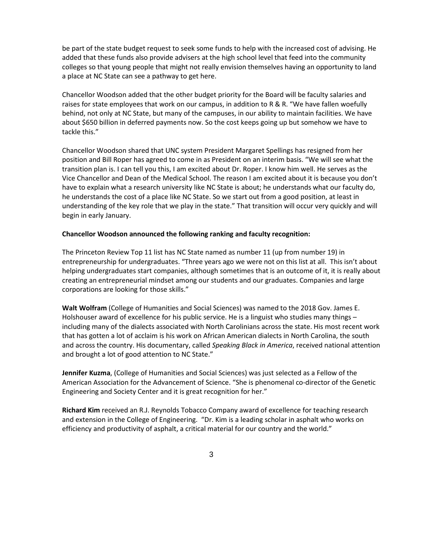be part of the state budget request to seek some funds to help with the increased cost of advising. He added that these funds also provide advisers at the high school level that feed into the community colleges so that young people that might not really envision themselves having an opportunity to land a place at NC State can see a pathway to get here.

Chancellor Woodson added that the other budget priority for the Board will be faculty salaries and raises for state employees that work on our campus, in addition to R & R. "We have fallen woefully behind, not only at NC State, but many of the campuses, in our ability to maintain facilities. We have about \$650 billion in deferred payments now. So the cost keeps going up but somehow we have to tackle this."

Chancellor Woodson shared that UNC system President Margaret Spellings has resigned from her position and Bill Roper has agreed to come in as President on an interim basis. "We will see what the transition plan is. I can tell you this, I am excited about Dr. Roper. I know him well. He serves as the Vice Chancellor and Dean of the Medical School. The reason I am excited about it is because you don't have to explain what a research university like NC State is about; he understands what our faculty do, he understands the cost of a place like NC State. So we start out from a good position, at least in understanding of the key role that we play in the state." That transition will occur very quickly and will begin in early January.

#### **Chancellor Woodson announced the following ranking and faculty recognition:**

The Princeton Review Top 11 list has NC State named as number 11 (up from number 19) in entrepreneurship for undergraduates. "Three years ago we were not on this list at all. This isn't about helping undergraduates start companies, although sometimes that is an outcome of it, it is really about creating an entrepreneurial mindset among our students and our graduates. Companies and large corporations are looking for those skills."

**Walt Wolfram** (College of Humanities and Social Sciences) was named to the 2018 Gov. James E. Holshouser award of excellence for his public service. He is a linguist who studies many things – including many of the dialects associated with North Carolinians across the state. His most recent work that has gotten a lot of acclaim is his work on African American dialects in North Carolina, the south and across the country. His documentary, called *Speaking Black in America*, received national attention and brought a lot of good attention to NC State."

**Jennifer Kuzma**, (College of Humanities and Social Sciences) was just selected as a Fellow of the American Association for the Advancement of Science. "She is phenomenal co-director of the Genetic Engineering and Society Center and it is great recognition for her."

**Richard Kim** received an R.J. Reynolds Tobacco Company award of excellence for teaching research and extension in the College of Engineering. "Dr. Kim is a leading scholar in asphalt who works on efficiency and productivity of asphalt, a critical material for our country and the world."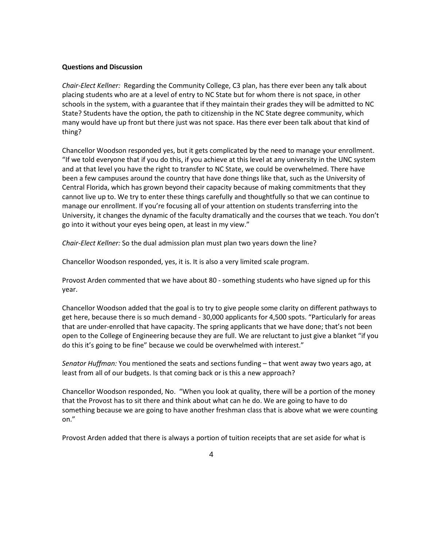#### **Questions and Discussion**

*Chair-Elect Kellner:* Regarding the Community College, C3 plan, has there ever been any talk about placing students who are at a level of entry to NC State but for whom there is not space, in other schools in the system, with a guarantee that if they maintain their grades they will be admitted to NC State? Students have the option, the path to citizenship in the NC State degree community, which many would have up front but there just was not space. Has there ever been talk about that kind of thing?

Chancellor Woodson responded yes, but it gets complicated by the need to manage your enrollment. "If we told everyone that if you do this, if you achieve at this level at any university in the UNC system and at that level you have the right to transfer to NC State, we could be overwhelmed. There have been a few campuses around the country that have done things like that, such as the University of Central Florida, which has grown beyond their capacity because of making commitments that they cannot live up to. We try to enter these things carefully and thoughtfully so that we can continue to manage our enrollment. If you're focusing all of your attention on students transferring into the University, it changes the dynamic of the faculty dramatically and the courses that we teach. You don't go into it without your eyes being open, at least in my view."

*Chair-Elect Kellner:* So the dual admission plan must plan two years down the line?

Chancellor Woodson responded, yes, it is. It is also a very limited scale program.

Provost Arden commented that we have about 80 - something students who have signed up for this year.

Chancellor Woodson added that the goal is to try to give people some clarity on different pathways to get here, because there is so much demand - 30,000 applicants for 4,500 spots. "Particularly for areas that are under-enrolled that have capacity. The spring applicants that we have done; that's not been open to the College of Engineering because they are full. We are reluctant to just give a blanket "if you do this it's going to be fine" because we could be overwhelmed with interest."

*Senator Huffman:* You mentioned the seats and sections funding – that went away two years ago, at least from all of our budgets. Is that coming back or is this a new approach?

Chancellor Woodson responded, No. "When you look at quality, there will be a portion of the money that the Provost has to sit there and think about what can he do. We are going to have to do something because we are going to have another freshman class that is above what we were counting on."

Provost Arden added that there is always a portion of tuition receipts that are set aside for what is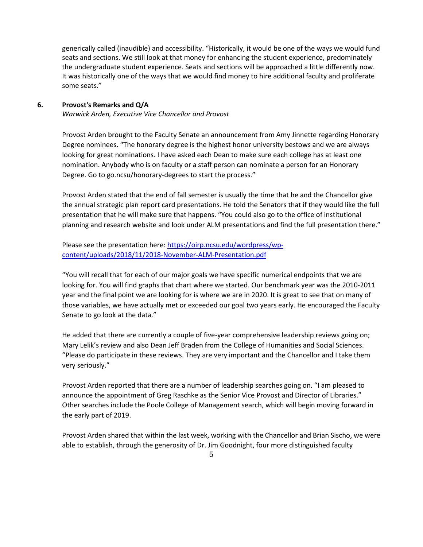generically called (inaudible) and accessibility. "Historically, it would be one of the ways we would fund seats and sections. We still look at that money for enhancing the student experience, predominately the undergraduate student experience. Seats and sections will be approached a little differently now. It was historically one of the ways that we would find money to hire additional faculty and proliferate some seats."

### **6. Provost's Remarks and Q/A**

*Warwick Arden, Executive Vice Chancellor and Provost*

Provost Arden brought to the Faculty Senate an announcement from Amy Jinnette regarding Honorary Degree nominees. "The honorary degree is the highest honor university bestows and we are always looking for great nominations. I have asked each Dean to make sure each college has at least one nomination. Anybody who is on faculty or a staff person can nominate a person for an Honorary Degree. Go to go.ncsu/honorary-degrees to start the process."

Provost Arden stated that the end of fall semester is usually the time that he and the Chancellor give the annual strategic plan report card presentations. He told the Senators that if they would like the full presentation that he will make sure that happens. "You could also go to the office of institutional planning and research website and look under ALM presentations and find the full presentation there."

Please see the presentation here: [https://oirp.ncsu.edu/wordpress/wp](https://oirp.ncsu.edu/wordpress/wp-content/uploads/2018/11/2018-November-ALM-Presentation.pdf)[content/uploads/2018/11/2018-November-ALM-Presentation.pdf](https://oirp.ncsu.edu/wordpress/wp-content/uploads/2018/11/2018-November-ALM-Presentation.pdf)

"You will recall that for each of our major goals we have specific numerical endpoints that we are looking for. You will find graphs that chart where we started. Our benchmark year was the 2010-2011 year and the final point we are looking for is where we are in 2020. It is great to see that on many of those variables, we have actually met or exceeded our goal two years early. He encouraged the Faculty Senate to go look at the data."

He added that there are currently a couple of five-year comprehensive leadership reviews going on; Mary Lelik's review and also Dean Jeff Braden from the College of Humanities and Social Sciences. "Please do participate in these reviews. They are very important and the Chancellor and I take them very seriously."

Provost Arden reported that there are a number of leadership searches going on. "I am pleased to announce the appointment of Greg Raschke as the Senior Vice Provost and Director of Libraries." Other searches include the Poole College of Management search, which will begin moving forward in the early part of 2019.

Provost Arden shared that within the last week, working with the Chancellor and Brian Sischo, we were able to establish, through the generosity of Dr. Jim Goodnight, four more distinguished faculty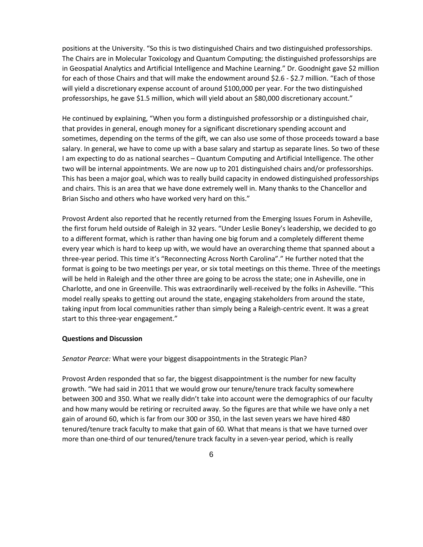positions at the University. "So this is two distinguished Chairs and two distinguished professorships. The Chairs are in Molecular Toxicology and Quantum Computing; the distinguished professorships are in Geospatial Analytics and Artificial Intelligence and Machine Learning." Dr. Goodnight gave \$2 million for each of those Chairs and that will make the endowment around \$2.6 - \$2.7 million. "Each of those will yield a discretionary expense account of around \$100,000 per year. For the two distinguished professorships, he gave \$1.5 million, which will yield about an \$80,000 discretionary account."

He continued by explaining, "When you form a distinguished professorship or a distinguished chair, that provides in general, enough money for a significant discretionary spending account and sometimes, depending on the terms of the gift, we can also use some of those proceeds toward a base salary. In general, we have to come up with a base salary and startup as separate lines. So two of these I am expecting to do as national searches – Quantum Computing and Artificial Intelligence. The other two will be internal appointments. We are now up to 201 distinguished chairs and/or professorships. This has been a major goal, which was to really build capacity in endowed distinguished professorships and chairs. This is an area that we have done extremely well in. Many thanks to the Chancellor and Brian Sischo and others who have worked very hard on this."

Provost Ardent also reported that he recently returned from the Emerging Issues Forum in Asheville, the first forum held outside of Raleigh in 32 years. "Under Leslie Boney's leadership, we decided to go to a different format, which is rather than having one big forum and a completely different theme every year which is hard to keep up with, we would have an overarching theme that spanned about a three-year period. This time it's "Reconnecting Across North Carolina"." He further noted that the format is going to be two meetings per year, or six total meetings on this theme. Three of the meetings will be held in Raleigh and the other three are going to be across the state; one in Asheville, one in Charlotte, and one in Greenville. This was extraordinarily well-received by the folks in Asheville. "This model really speaks to getting out around the state, engaging stakeholders from around the state, taking input from local communities rather than simply being a Raleigh-centric event. It was a great start to this three-year engagement."

#### **Questions and Discussion**

*Senator Pearce:* What were your biggest disappointments in the Strategic Plan?

Provost Arden responded that so far, the biggest disappointment is the number for new faculty growth. "We had said in 2011 that we would grow our tenure/tenure track faculty somewhere between 300 and 350. What we really didn't take into account were the demographics of our faculty and how many would be retiring or recruited away. So the figures are that while we have only a net gain of around 60, which is far from our 300 or 350, in the last seven years we have hired 480 tenured/tenure track faculty to make that gain of 60. What that means is that we have turned over more than one-third of our tenured/tenure track faculty in a seven-year period, which is really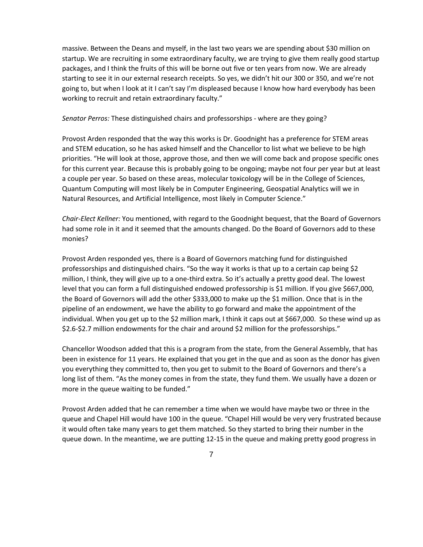massive. Between the Deans and myself, in the last two years we are spending about \$30 million on startup. We are recruiting in some extraordinary faculty, we are trying to give them really good startup packages, and I think the fruits of this will be borne out five or ten years from now. We are already starting to see it in our external research receipts. So yes, we didn't hit our 300 or 350, and we're not going to, but when I look at it I can't say I'm displeased because I know how hard everybody has been working to recruit and retain extraordinary faculty."

*Senator Perros:* These distinguished chairs and professorships - where are they going?

Provost Arden responded that the way this works is Dr. Goodnight has a preference for STEM areas and STEM education, so he has asked himself and the Chancellor to list what we believe to be high priorities. "He will look at those, approve those, and then we will come back and propose specific ones for this current year. Because this is probably going to be ongoing; maybe not four per year but at least a couple per year. So based on these areas, molecular toxicology will be in the College of Sciences, Quantum Computing will most likely be in Computer Engineering, Geospatial Analytics will we in Natural Resources, and Artificial Intelligence, most likely in Computer Science."

*Chair-Elect Kellner:* You mentioned, with regard to the Goodnight bequest, that the Board of Governors had some role in it and it seemed that the amounts changed. Do the Board of Governors add to these monies?

Provost Arden responded yes, there is a Board of Governors matching fund for distinguished professorships and distinguished chairs. "So the way it works is that up to a certain cap being \$2 million, I think, they will give up to a one-third extra. So it's actually a pretty good deal. The lowest level that you can form a full distinguished endowed professorship is \$1 million. If you give \$667,000, the Board of Governors will add the other \$333,000 to make up the \$1 million. Once that is in the pipeline of an endowment, we have the ability to go forward and make the appointment of the individual. When you get up to the \$2 million mark, I think it caps out at \$667,000. So these wind up as \$2.6-\$2.7 million endowments for the chair and around \$2 million for the professorships."

Chancellor Woodson added that this is a program from the state, from the General Assembly, that has been in existence for 11 years. He explained that you get in the que and as soon as the donor has given you everything they committed to, then you get to submit to the Board of Governors and there's a long list of them. "As the money comes in from the state, they fund them. We usually have a dozen or more in the queue waiting to be funded."

Provost Arden added that he can remember a time when we would have maybe two or three in the queue and Chapel Hill would have 100 in the queue. "Chapel Hill would be very very frustrated because it would often take many years to get them matched. So they started to bring their number in the queue down. In the meantime, we are putting 12-15 in the queue and making pretty good progress in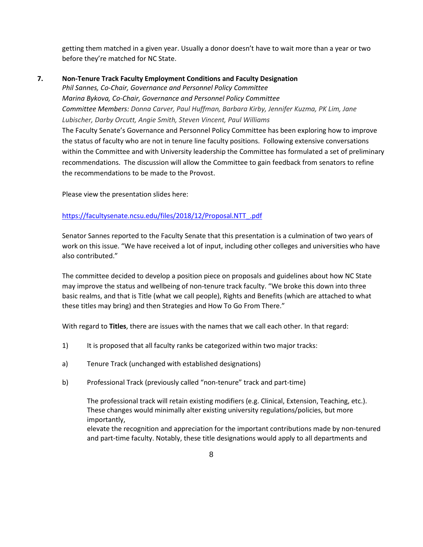getting them matched in a given year. Usually a donor doesn't have to wait more than a year or two before they're matched for NC State.

## **7. Non-Tenure Track Faculty Employment Conditions and Faculty Designation**

*Phil Sannes, Co-Chair, Governance and Personnel Policy Committee Marina Bykova, Co-Chair, Governance and Personnel Policy Committee Committee Members: Donna Carver, Paul Huffman, Barbara Kirby, Jennifer Kuzma, PK Lim, Jane Lubischer, Darby Orcutt, Angie Smith, Steven Vincent, Paul Williams*

The Faculty Senate's Governance and Personnel Policy Committee has been exploring how to improve the status of faculty who are not in tenure line faculty positions. Following extensive conversations within the Committee and with University leadership the Committee has formulated a set of preliminary recommendations. The discussion will allow the Committee to gain feedback from senators to refine the recommendations to be made to the Provost.

Please view the presentation slides here:

## [https://facultysenate.ncsu.edu/files/2018/12/Proposal.NTT\\_.pdf](https://facultysenate.ncsu.edu/files/2018/12/Proposal.NTT_.pdf)

Senator Sannes reported to the Faculty Senate that this presentation is a culmination of two years of work on this issue. "We have received a lot of input, including other colleges and universities who have also contributed."

The committee decided to develop a position piece on proposals and guidelines about how NC State may improve the status and wellbeing of non-tenure track faculty. "We broke this down into three basic realms, and that is Title (what we call people), Rights and Benefits (which are attached to what these titles may bring) and then Strategies and How To Go From There."

With regard to **Titles**, there are issues with the names that we call each other. In that regard:

- 1) It is proposed that all faculty ranks be categorized within two major tracks:
- a) Tenure Track (unchanged with established designations)
- b) Professional Track (previously called "non-tenure" track and part-time)

The professional track will retain existing modifiers (e.g. Clinical, Extension, Teaching, etc.). These changes would minimally alter existing university regulations/policies, but more importantly,

elevate the recognition and appreciation for the important contributions made by non-tenured and part-time faculty. Notably, these title designations would apply to all departments and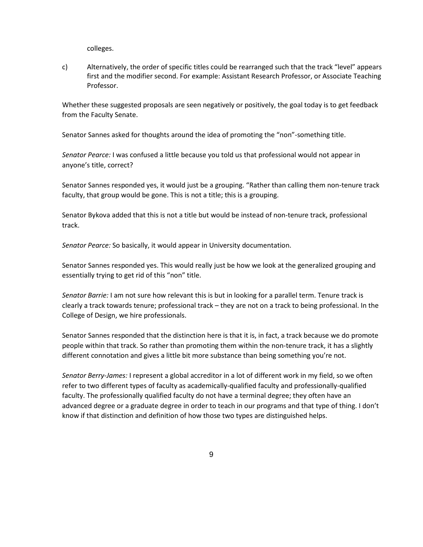colleges.

c) Alternatively, the order of specific titles could be rearranged such that the track "level" appears first and the modifier second. For example: Assistant Research Professor, or Associate Teaching Professor.

Whether these suggested proposals are seen negatively or positively, the goal today is to get feedback from the Faculty Senate.

Senator Sannes asked for thoughts around the idea of promoting the "non"-something title.

*Senator Pearce:* I was confused a little because you told us that professional would not appear in anyone's title, correct?

Senator Sannes responded yes, it would just be a grouping. "Rather than calling them non-tenure track faculty, that group would be gone. This is not a title; this is a grouping.

Senator Bykova added that this is not a title but would be instead of non-tenure track, professional track.

*Senator Pearce:* So basically, it would appear in University documentation.

Senator Sannes responded yes. This would really just be how we look at the generalized grouping and essentially trying to get rid of this "non" title.

*Senator Barrie:* I am not sure how relevant this is but in looking for a parallel term. Tenure track is clearly a track towards tenure; professional track – they are not on a track to being professional. In the College of Design, we hire professionals.

Senator Sannes responded that the distinction here is that it is, in fact, a track because we do promote people within that track. So rather than promoting them within the non-tenure track, it has a slightly different connotation and gives a little bit more substance than being something you're not.

*Senator Berry-James:* I represent a global accreditor in a lot of different work in my field, so we often refer to two different types of faculty as academically-qualified faculty and professionally-qualified faculty. The professionally qualified faculty do not have a terminal degree; they often have an advanced degree or a graduate degree in order to teach in our programs and that type of thing. I don't know if that distinction and definition of how those two types are distinguished helps.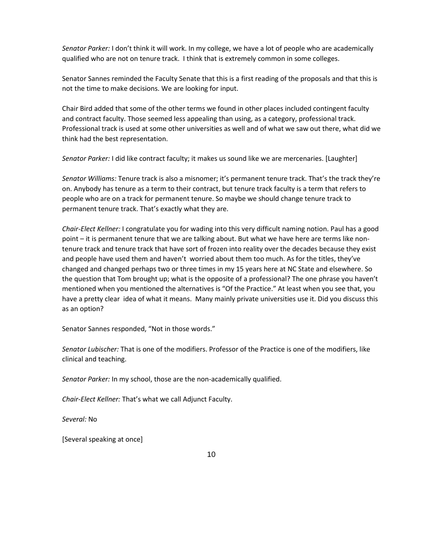*Senator Parker:* I don't think it will work. In my college, we have a lot of people who are academically qualified who are not on tenure track. I think that is extremely common in some colleges.

Senator Sannes reminded the Faculty Senate that this is a first reading of the proposals and that this is not the time to make decisions. We are looking for input.

Chair Bird added that some of the other terms we found in other places included contingent faculty and contract faculty. Those seemed less appealing than using, as a category, professional track. Professional track is used at some other universities as well and of what we saw out there, what did we think had the best representation.

*Senator Parker:* I did like contract faculty; it makes us sound like we are mercenaries. [Laughter]

*Senator Williams:* Tenure track is also a misnomer; it's permanent tenure track. That's the track they're on. Anybody has tenure as a term to their contract, but tenure track faculty is a term that refers to people who are on a track for permanent tenure. So maybe we should change tenure track to permanent tenure track. That's exactly what they are.

*Chair-Elect Kellner:* I congratulate you for wading into this very difficult naming notion. Paul has a good point – it is permanent tenure that we are talking about. But what we have here are terms like nontenure track and tenure track that have sort of frozen into reality over the decades because they exist and people have used them and haven't worried about them too much. As for the titles, they've changed and changed perhaps two or three times in my 15 years here at NC State and elsewhere. So the question that Tom brought up; what is the opposite of a professional? The one phrase you haven't mentioned when you mentioned the alternatives is "Of the Practice." At least when you see that, you have a pretty clear idea of what it means. Many mainly private universities use it. Did you discuss this as an option?

Senator Sannes responded, "Not in those words."

*Senator Lubischer:* That is one of the modifiers. Professor of the Practice is one of the modifiers, like clinical and teaching.

*Senator Parker:* In my school, those are the non-academically qualified.

*Chair-Elect Kellner:* That's what we call Adjunct Faculty.

*Several:* No

[Several speaking at once]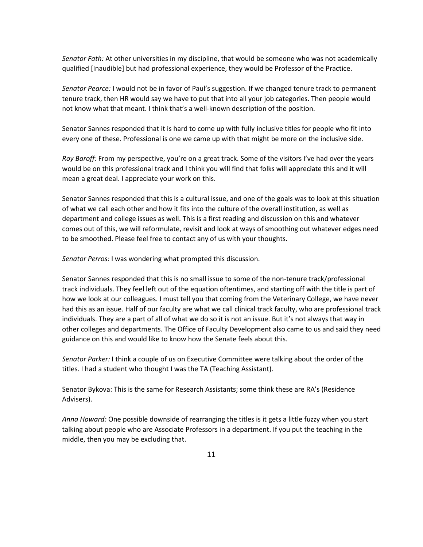*Senator Fath:* At other universities in my discipline, that would be someone who was not academically qualified [Inaudible] but had professional experience, they would be Professor of the Practice.

*Senator Pearce:* I would not be in favor of Paul's suggestion. If we changed tenure track to permanent tenure track, then HR would say we have to put that into all your job categories. Then people would not know what that meant. I think that's a well-known description of the position.

Senator Sannes responded that it is hard to come up with fully inclusive titles for people who fit into every one of these. Professional is one we came up with that might be more on the inclusive side.

*Roy Baroff:* From my perspective, you're on a great track. Some of the visitors I've had over the years would be on this professional track and I think you will find that folks will appreciate this and it will mean a great deal. I appreciate your work on this.

Senator Sannes responded that this is a cultural issue, and one of the goals was to look at this situation of what we call each other and how it fits into the culture of the overall institution, as well as department and college issues as well. This is a first reading and discussion on this and whatever comes out of this, we will reformulate, revisit and look at ways of smoothing out whatever edges need to be smoothed. Please feel free to contact any of us with your thoughts.

*Senator Perros:* I was wondering what prompted this discussion.

Senator Sannes responded that this is no small issue to some of the non-tenure track/professional track individuals. They feel left out of the equation oftentimes, and starting off with the title is part of how we look at our colleagues. I must tell you that coming from the Veterinary College, we have never had this as an issue. Half of our faculty are what we call clinical track faculty, who are professional track individuals. They are a part of all of what we do so it is not an issue. But it's not always that way in other colleges and departments. The Office of Faculty Development also came to us and said they need guidance on this and would like to know how the Senate feels about this.

*Senator Parker:* I think a couple of us on Executive Committee were talking about the order of the titles. I had a student who thought I was the TA (Teaching Assistant).

Senator Bykova: This is the same for Research Assistants; some think these are RA's (Residence Advisers).

*Anna Howard:* One possible downside of rearranging the titles is it gets a little fuzzy when you start talking about people who are Associate Professors in a department. If you put the teaching in the middle, then you may be excluding that.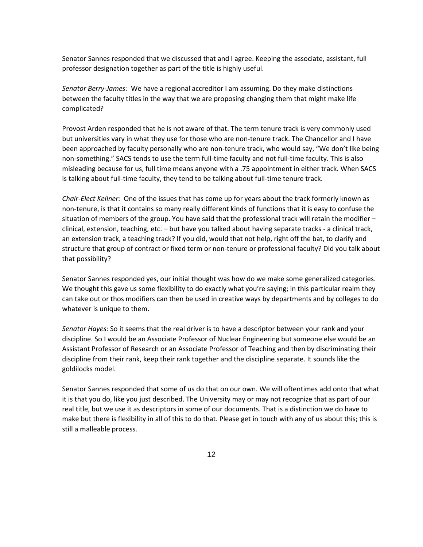Senator Sannes responded that we discussed that and I agree. Keeping the associate, assistant, full professor designation together as part of the title is highly useful.

*Senator Berry-James:* We have a regional accreditor I am assuming. Do they make distinctions between the faculty titles in the way that we are proposing changing them that might make life complicated?

Provost Arden responded that he is not aware of that. The term tenure track is very commonly used but universities vary in what they use for those who are non-tenure track. The Chancellor and I have been approached by faculty personally who are non-tenure track, who would say, "We don't like being non-something." SACS tends to use the term full-time faculty and not full-time faculty. This is also misleading because for us, full time means anyone with a .75 appointment in either track. When SACS is talking about full-time faculty, they tend to be talking about full-time tenure track.

*Chair-Elect Kellner:* One of the issues that has come up for years about the track formerly known as non-tenure, is that it contains so many really different kinds of functions that it is easy to confuse the situation of members of the group. You have said that the professional track will retain the modifier – clinical, extension, teaching, etc. – but have you talked about having separate tracks - a clinical track, an extension track, a teaching track? If you did, would that not help, right off the bat, to clarify and structure that group of contract or fixed term or non-tenure or professional faculty? Did you talk about that possibility?

Senator Sannes responded yes, our initial thought was how do we make some generalized categories. We thought this gave us some flexibility to do exactly what you're saying; in this particular realm they can take out or thos modifiers can then be used in creative ways by departments and by colleges to do whatever is unique to them.

*Senator Hayes:* So it seems that the real driver is to have a descriptor between your rank and your discipline. So I would be an Associate Professor of Nuclear Engineering but someone else would be an Assistant Professor of Research or an Associate Professor of Teaching and then by discriminating their discipline from their rank, keep their rank together and the discipline separate. It sounds like the goldilocks model.

Senator Sannes responded that some of us do that on our own. We will oftentimes add onto that what it is that you do, like you just described. The University may or may not recognize that as part of our real title, but we use it as descriptors in some of our documents. That is a distinction we do have to make but there is flexibility in all of this to do that. Please get in touch with any of us about this; this is still a malleable process.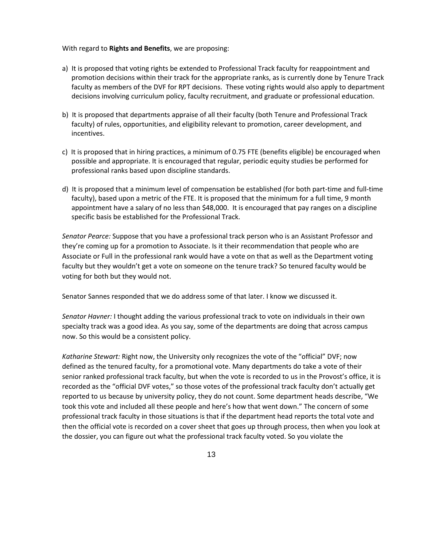#### With regard to **Rights and Benefits**, we are proposing:

- a) It is proposed that voting rights be extended to Professional Track faculty for reappointment and promotion decisions within their track for the appropriate ranks, as is currently done by Tenure Track faculty as members of the DVF for RPT decisions. These voting rights would also apply to department decisions involving curriculum policy, faculty recruitment, and graduate or professional education.
- b) It is proposed that departments appraise of all their faculty (both Tenure and Professional Track faculty) of rules, opportunities, and eligibility relevant to promotion, career development, and incentives.
- c) It is proposed that in hiring practices, a minimum of 0.75 FTE (benefits eligible) be encouraged when possible and appropriate. It is encouraged that regular, periodic equity studies be performed for professional ranks based upon discipline standards.
- d) It is proposed that a minimum level of compensation be established (for both part-time and full-time faculty), based upon a metric of the FTE. It is proposed that the minimum for a full time, 9 month appointment have a salary of no less than \$48,000. It is encouraged that pay ranges on a discipline specific basis be established for the Professional Track.

*Senator Pearce:* Suppose that you have a professional track person who is an Assistant Professor and they're coming up for a promotion to Associate. Is it their recommendation that people who are Associate or Full in the professional rank would have a vote on that as well as the Department voting faculty but they wouldn't get a vote on someone on the tenure track? So tenured faculty would be voting for both but they would not.

Senator Sannes responded that we do address some of that later. I know we discussed it.

*Senator Havner:* I thought adding the various professional track to vote on individuals in their own specialty track was a good idea. As you say, some of the departments are doing that across campus now. So this would be a consistent policy.

*Katharine Stewart:* Right now, the University only recognizes the vote of the "official" DVF; now defined as the tenured faculty, for a promotional vote. Many departments do take a vote of their senior ranked professional track faculty, but when the vote is recorded to us in the Provost's office, it is recorded as the "official DVF votes," so those votes of the professional track faculty don't actually get reported to us because by university policy, they do not count. Some department heads describe, "We took this vote and included all these people and here's how that went down." The concern of some professional track faculty in those situations is that if the department head reports the total vote and then the official vote is recorded on a cover sheet that goes up through process, then when you look at the dossier, you can figure out what the professional track faculty voted. So you violate the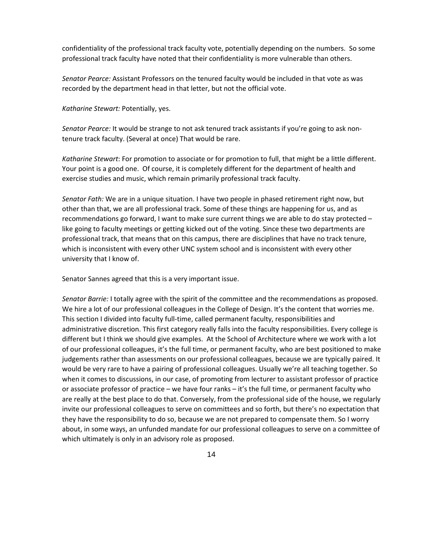confidentiality of the professional track faculty vote, potentially depending on the numbers. So some professional track faculty have noted that their confidentiality is more vulnerable than others.

*Senator Pearce:* Assistant Professors on the tenured faculty would be included in that vote as was recorded by the department head in that letter, but not the official vote.

*Katharine Stewart:* Potentially, yes.

*Senator Pearce:* It would be strange to not ask tenured track assistants if you're going to ask nontenure track faculty. (Several at once) That would be rare.

*Katharine Stewart*: For promotion to associate or for promotion to full, that might be a little different. Your point is a good one. Of course, it is completely different for the department of health and exercise studies and music, which remain primarily professional track faculty.

*Senator Fath:* We are in a unique situation. I have two people in phased retirement right now, but other than that, we are all professional track. Some of these things are happening for us, and as recommendations go forward, I want to make sure current things we are able to do stay protected – like going to faculty meetings or getting kicked out of the voting. Since these two departments are professional track, that means that on this campus, there are disciplines that have no track tenure, which is inconsistent with every other UNC system school and is inconsistent with every other university that I know of.

Senator Sannes agreed that this is a very important issue.

*Senator Barrie:* I totally agree with the spirit of the committee and the recommendations as proposed. We hire a lot of our professional colleagues in the College of Design. It's the content that worries me. This section I divided into faculty full-time, called permanent faculty, responsibilities and administrative discretion. This first category really falls into the faculty responsibilities. Every college is different but I think we should give examples. At the School of Architecture where we work with a lot of our professional colleagues, it's the full time, or permanent faculty, who are best positioned to make judgements rather than assessments on our professional colleagues, because we are typically paired. It would be very rare to have a pairing of professional colleagues. Usually we're all teaching together. So when it comes to discussions, in our case, of promoting from lecturer to assistant professor of practice or associate professor of practice – we have four ranks – it's the full time, or permanent faculty who are really at the best place to do that. Conversely, from the professional side of the house, we regularly invite our professional colleagues to serve on committees and so forth, but there's no expectation that they have the responsibility to do so, because we are not prepared to compensate them. So I worry about, in some ways, an unfunded mandate for our professional colleagues to serve on a committee of which ultimately is only in an advisory role as proposed.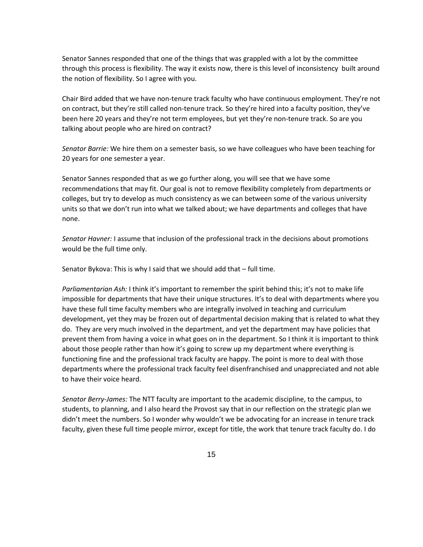Senator Sannes responded that one of the things that was grappled with a lot by the committee through this process is flexibility. The way it exists now, there is this level of inconsistency built around the notion of flexibility. So I agree with you.

Chair Bird added that we have non-tenure track faculty who have continuous employment. They're not on contract, but they're still called non-tenure track. So they're hired into a faculty position, they've been here 20 years and they're not term employees, but yet they're non-tenure track. So are you talking about people who are hired on contract?

*Senator Barrie:* We hire them on a semester basis, so we have colleagues who have been teaching for 20 years for one semester a year.

Senator Sannes responded that as we go further along, you will see that we have some recommendations that may fit. Our goal is not to remove flexibility completely from departments or colleges, but try to develop as much consistency as we can between some of the various university units so that we don't run into what we talked about; we have departments and colleges that have none.

*Senator Havner:* I assume that inclusion of the professional track in the decisions about promotions would be the full time only.

Senator Bykova: This is why I said that we should add that – full time.

*Parliamentarian Ash:* I think it's important to remember the spirit behind this; it's not to make life impossible for departments that have their unique structures. It's to deal with departments where you have these full time faculty members who are integrally involved in teaching and curriculum development, yet they may be frozen out of departmental decision making that is related to what they do. They are very much involved in the department, and yet the department may have policies that prevent them from having a voice in what goes on in the department. So I think it is important to think about those people rather than how it's going to screw up my department where everything is functioning fine and the professional track faculty are happy. The point is more to deal with those departments where the professional track faculty feel disenfranchised and unappreciated and not able to have their voice heard.

*Senator Berry-James:* The NTT faculty are important to the academic discipline, to the campus, to students, to planning, and I also heard the Provost say that in our reflection on the strategic plan we didn't meet the numbers. So I wonder why wouldn't we be advocating for an increase in tenure track faculty, given these full time people mirror, except for title, the work that tenure track faculty do. I do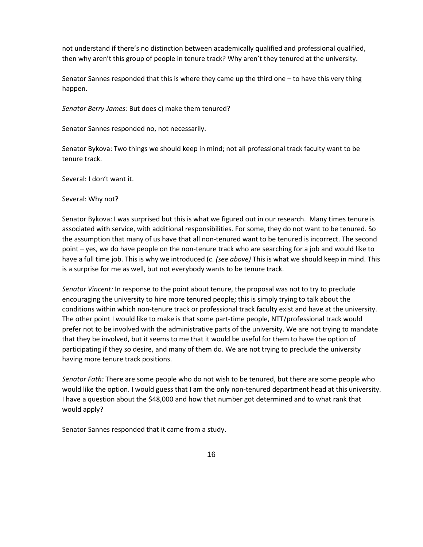not understand if there's no distinction between academically qualified and professional qualified, then why aren't this group of people in tenure track? Why aren't they tenured at the university.

Senator Sannes responded that this is where they came up the third one – to have this very thing happen.

*Senator Berry-James:* But does c) make them tenured?

Senator Sannes responded no, not necessarily.

Senator Bykova: Two things we should keep in mind; not all professional track faculty want to be tenure track.

Several: I don't want it.

Several: Why not?

Senator Bykova: I was surprised but this is what we figured out in our research. Many times tenure is associated with service, with additional responsibilities. For some, they do not want to be tenured. So the assumption that many of us have that all non-tenured want to be tenured is incorrect. The second point – yes, we do have people on the non-tenure track who are searching for a job and would like to have a full time job. This is why we introduced (c. *(see above)* This is what we should keep in mind. This is a surprise for me as well, but not everybody wants to be tenure track.

*Senator Vincent:* In response to the point about tenure, the proposal was not to try to preclude encouraging the university to hire more tenured people; this is simply trying to talk about the conditions within which non-tenure track or professional track faculty exist and have at the university. The other point I would like to make is that some part-time people, NTT/professional track would prefer not to be involved with the administrative parts of the university. We are not trying to mandate that they be involved, but it seems to me that it would be useful for them to have the option of participating if they so desire, and many of them do. We are not trying to preclude the university having more tenure track positions.

*Senator Fath:* There are some people who do not wish to be tenured, but there are some people who would like the option. I would guess that I am the only non-tenured department head at this university. I have a question about the \$48,000 and how that number got determined and to what rank that would apply?

Senator Sannes responded that it came from a study.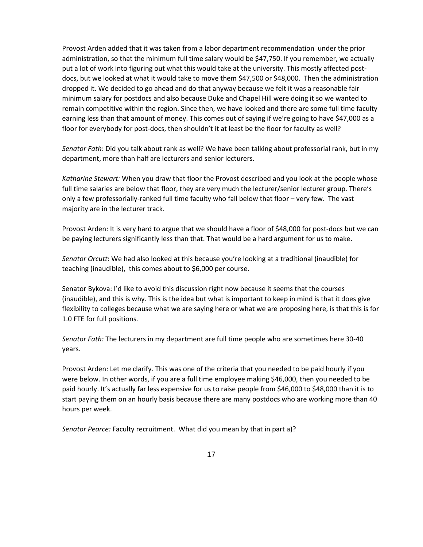Provost Arden added that it was taken from a labor department recommendation under the prior administration, so that the minimum full time salary would be \$47,750. If you remember, we actually put a lot of work into figuring out what this would take at the university. This mostly affected postdocs, but we looked at what it would take to move them \$47,500 or \$48,000. Then the administration dropped it. We decided to go ahead and do that anyway because we felt it was a reasonable fair minimum salary for postdocs and also because Duke and Chapel Hill were doing it so we wanted to remain competitive within the region. Since then, we have looked and there are some full time faculty earning less than that amount of money. This comes out of saying if we're going to have \$47,000 as a floor for everybody for post-docs, then shouldn't it at least be the floor for faculty as well?

*Senator Fath*: Did you talk about rank as well? We have been talking about professorial rank, but in my department, more than half are lecturers and senior lecturers.

*Katharine Stewart:* When you draw that floor the Provost described and you look at the people whose full time salaries are below that floor, they are very much the lecturer/senior lecturer group. There's only a few professorially-ranked full time faculty who fall below that floor – very few. The vast majority are in the lecturer track.

Provost Arden: It is very hard to argue that we should have a floor of \$48,000 for post-docs but we can be paying lecturers significantly less than that. That would be a hard argument for us to make.

*Senator Orcutt*: We had also looked at this because you're looking at a traditional (inaudible) for teaching (inaudible), this comes about to \$6,000 per course.

Senator Bykova: I'd like to avoid this discussion right now because it seems that the courses (inaudible), and this is why. This is the idea but what is important to keep in mind is that it does give flexibility to colleges because what we are saying here or what we are proposing here, is that this is for 1.0 FTE for full positions.

*Senator Fath:* The lecturers in my department are full time people who are sometimes here 30-40 years.

Provost Arden: Let me clarify. This was one of the criteria that you needed to be paid hourly if you were below. In other words, if you are a full time employee making \$46,000, then you needed to be paid hourly. It's actually far less expensive for us to raise people from \$46,000 to \$48,000 than it is to start paying them on an hourly basis because there are many postdocs who are working more than 40 hours per week.

*Senator Pearce:* Faculty recruitment. What did you mean by that in part a)?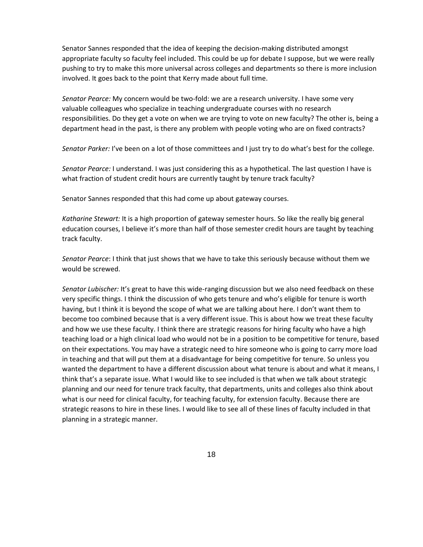Senator Sannes responded that the idea of keeping the decision-making distributed amongst appropriate faculty so faculty feel included. This could be up for debate I suppose, but we were really pushing to try to make this more universal across colleges and departments so there is more inclusion involved. It goes back to the point that Kerry made about full time.

*Senator Pearce:* My concern would be two-fold: we are a research university. I have some very valuable colleagues who specialize in teaching undergraduate courses with no research responsibilities. Do they get a vote on when we are trying to vote on new faculty? The other is, being a department head in the past, is there any problem with people voting who are on fixed contracts?

*Senator Parker:* I've been on a lot of those committees and I just try to do what's best for the college.

*Senator Pearce:* I understand. I was just considering this as a hypothetical. The last question I have is what fraction of student credit hours are currently taught by tenure track faculty?

Senator Sannes responded that this had come up about gateway courses.

*Katharine Stewart:* It is a high proportion of gateway semester hours. So like the really big general education courses, I believe it's more than half of those semester credit hours are taught by teaching track faculty.

*Senator Pearce*: I think that just shows that we have to take this seriously because without them we would be screwed.

*Senator Lubischer:* It's great to have this wide-ranging discussion but we also need feedback on these very specific things. I think the discussion of who gets tenure and who's eligible for tenure is worth having, but I think it is beyond the scope of what we are talking about here. I don't want them to become too combined because that is a very different issue. This is about how we treat these faculty and how we use these faculty. I think there are strategic reasons for hiring faculty who have a high teaching load or a high clinical load who would not be in a position to be competitive for tenure, based on their expectations. You may have a strategic need to hire someone who is going to carry more load in teaching and that will put them at a disadvantage for being competitive for tenure. So unless you wanted the department to have a different discussion about what tenure is about and what it means, I think that's a separate issue. What I would like to see included is that when we talk about strategic planning and our need for tenure track faculty, that departments, units and colleges also think about what is our need for clinical faculty, for teaching faculty, for extension faculty. Because there are strategic reasons to hire in these lines. I would like to see all of these lines of faculty included in that planning in a strategic manner.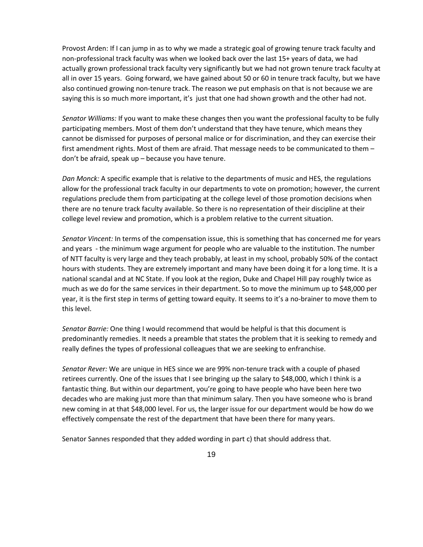Provost Arden: If I can jump in as to why we made a strategic goal of growing tenure track faculty and non-professional track faculty was when we looked back over the last 15+ years of data, we had actually grown professional track faculty very significantly but we had not grown tenure track faculty at all in over 15 years. Going forward, we have gained about 50 or 60 in tenure track faculty, but we have also continued growing non-tenure track. The reason we put emphasis on that is not because we are saying this is so much more important, it's just that one had shown growth and the other had not.

*Senator Williams:* If you want to make these changes then you want the professional faculty to be fully participating members. Most of them don't understand that they have tenure, which means they cannot be dismissed for purposes of personal malice or for discrimination, and they can exercise their first amendment rights. Most of them are afraid. That message needs to be communicated to them – don't be afraid, speak up – because you have tenure.

*Dan Monck:* A specific example that is relative to the departments of music and HES, the regulations allow for the professional track faculty in our departments to vote on promotion; however, the current regulations preclude them from participating at the college level of those promotion decisions when there are no tenure track faculty available. So there is no representation of their discipline at their college level review and promotion, which is a problem relative to the current situation.

*Senator Vincent:* In terms of the compensation issue, this is something that has concerned me for years and years - the minimum wage argument for people who are valuable to the institution. The number of NTT faculty is very large and they teach probably, at least in my school, probably 50% of the contact hours with students. They are extremely important and many have been doing it for a long time. It is a national scandal and at NC State. If you look at the region, Duke and Chapel Hill pay roughly twice as much as we do for the same services in their department. So to move the minimum up to \$48,000 per year, it is the first step in terms of getting toward equity. It seems to it's a no-brainer to move them to this level.

*Senator Barrie:* One thing I would recommend that would be helpful is that this document is predominantly remedies. It needs a preamble that states the problem that it is seeking to remedy and really defines the types of professional colleagues that we are seeking to enfranchise.

*Senator Rever:* We are unique in HES since we are 99% non-tenure track with a couple of phased retirees currently. One of the issues that I see bringing up the salary to \$48,000, which I think is a fantastic thing. But within our department, you're going to have people who have been here two decades who are making just more than that minimum salary. Then you have someone who is brand new coming in at that \$48,000 level. For us, the larger issue for our department would be how do we effectively compensate the rest of the department that have been there for many years.

Senator Sannes responded that they added wording in part c) that should address that.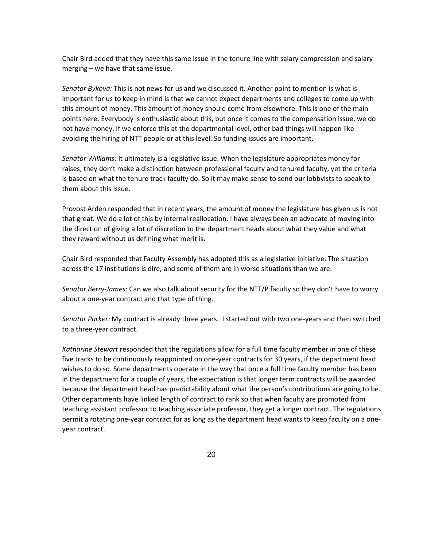Chair Bird added that they have this same issue in the tenure line with salary compression and salary merging – we have that same issue.

*Senator Bykova:* This is not news for us and we discussed it. Another point to mention is what is important for us to keep in mind is that we cannot expect departments and colleges to come up with this amount of money. This amount of money should come from elsewhere. This is one of the main points here. Everybody is enthusiastic about this, but once it comes to the compensation issue, we do not have money. If we enforce this at the departmental level, other bad things will happen like avoiding the hiring of NTT people or at this level. So funding issues are important.

*Senator Williams:* It ultimately is a legislative issue. When the legislature appropriates money for raises, they don't make a distinction between professional faculty and tenured faculty, yet the criteria is based on what the tenure track faculty do. So it may make sense to send our lobbyists to speak to them about this issue.

Provost Arden responded that in recent years, the amount of money the legislature has given us is not that great. We do a lot of this by internal reallocation. I have always been an advocate of moving into the direction of giving a lot of discretion to the department heads about what they value and what they reward without us defining what merit is.

Chair Bird responded that Faculty Assembly has adopted this as a legislative initiative. The situation across the 17 institutions is dire, and some of them are in worse situations than we are.

*Senator Berry-James*: Can we also talk about security for the NTT/P faculty so they don't have to worry about a one-year contract and that type of thing.

*Senator Parker:* My contract is already three years. I started out with two one-years and then switched to a three-year contract.

*Katharine Stewart* responded that the regulations allow for a full time faculty member in one of these five tracks to be continuously reappointed on one-year contracts for 30 years, if the department head wishes to do so. Some departments operate in the way that once a full time faculty member has been in the department for a couple of years, the expectation is that longer term contracts will be awarded because the department head has predictability about what the person's contributions are going to be. Other departments have linked length of contract to rank so that when faculty are promoted from teaching assistant professor to teaching associate professor, they get a longer contract. The regulations permit a rotating one-year contract for as long as the department head wants to keep faculty on a oneyear contract.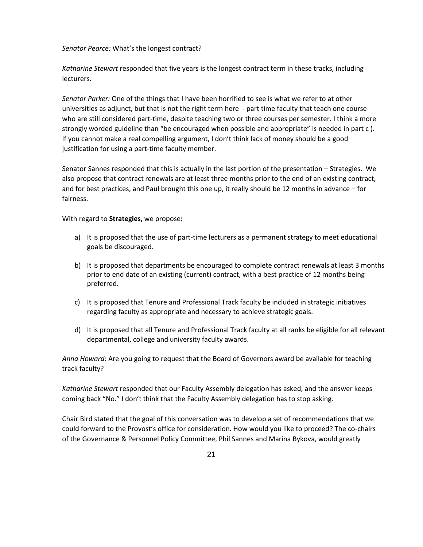*Senator Pearce:* What's the longest contract?

*Katharine Stewart* responded that five years is the longest contract term in these tracks, including lecturers.

*Senator Parker:* One of the things that I have been horrified to see is what we refer to at other universities as adjunct, but that is not the right term here - part time faculty that teach one course who are still considered part-time, despite teaching two or three courses per semester. I think a more strongly worded guideline than "be encouraged when possible and appropriate" is needed in part c ). If you cannot make a real compelling argument, I don't think lack of money should be a good justification for using a part-time faculty member.

Senator Sannes responded that this is actually in the last portion of the presentation – Strategies. We also propose that contract renewals are at least three months prior to the end of an existing contract, and for best practices, and Paul brought this one up, it really should be 12 months in advance – for fairness.

With regard to **Strategies,** we propose**:**

- a) It is proposed that the use of part-time lecturers as a permanent strategy to meet educational goals be discouraged.
- b) It is proposed that departments be encouraged to complete contract renewals at least 3 months prior to end date of an existing (current) contract, with a best practice of 12 months being preferred.
- c) It is proposed that Tenure and Professional Track faculty be included in strategic initiatives regarding faculty as appropriate and necessary to achieve strategic goals.
- d) It is proposed that all Tenure and Professional Track faculty at all ranks be eligible for all relevant departmental, college and university faculty awards.

*Anna Howard*: Are you going to request that the Board of Governors award be available for teaching track faculty?

*Katharine Stewart* responded that our Faculty Assembly delegation has asked, and the answer keeps coming back "No." I don't think that the Faculty Assembly delegation has to stop asking.

Chair Bird stated that the goal of this conversation was to develop a set of recommendations that we could forward to the Provost's office for consideration. How would you like to proceed? The co-chairs of the Governance & Personnel Policy Committee, Phil Sannes and Marina Bykova, would greatly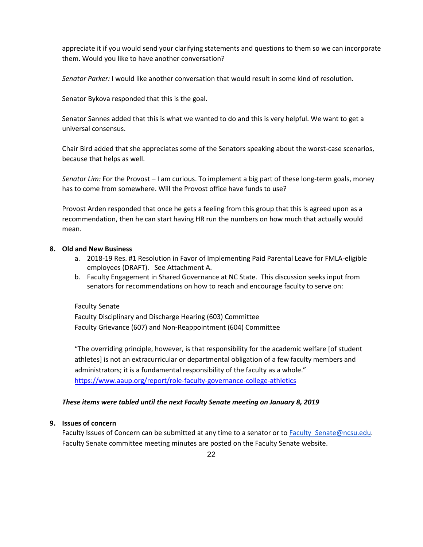appreciate it if you would send your clarifying statements and questions to them so we can incorporate them. Would you like to have another conversation?

*Senator Parker:* I would like another conversation that would result in some kind of resolution.

Senator Bykova responded that this is the goal.

Senator Sannes added that this is what we wanted to do and this is very helpful. We want to get a universal consensus.

Chair Bird added that she appreciates some of the Senators speaking about the worst-case scenarios, because that helps as well.

*Senator Lim:* For the Provost – I am curious. To implement a big part of these long-term goals, money has to come from somewhere. Will the Provost office have funds to use?

Provost Arden responded that once he gets a feeling from this group that this is agreed upon as a recommendation, then he can start having HR run the numbers on how much that actually would mean.

## **8. Old and New Business**

- a. 2018-19 Res. #1 Resolution in Favor of Implementing Paid Parental Leave for FMLA-eligible employees (DRAFT). See Attachment A.
- b. Faculty Engagement in Shared Governance at NC State. This discussion seeks input from senators for recommendations on how to reach and encourage faculty to serve on:

## Faculty Senate

Faculty Disciplinary and Discharge Hearing (603) Committee Faculty Grievance (607) and Non-Reappointment (604) Committee

"The overriding principle, however, is that responsibility for the academic welfare [of student athletes] is not an extracurricular or departmental obligation of a few faculty members and administrators; it is a fundamental responsibility of the faculty as a whole." <https://www.aaup.org/report/role-faculty-governance-college-athletics>

## *These items were tabled until the next Faculty Senate meeting on January 8, 2019*

## **9. Issues of concern**

Faculty Issues of Concern can be submitted at any time to a senator or to Faculty Senate@ncsu.edu. Faculty Senate committee meeting minutes are posted on the Faculty Senate website.